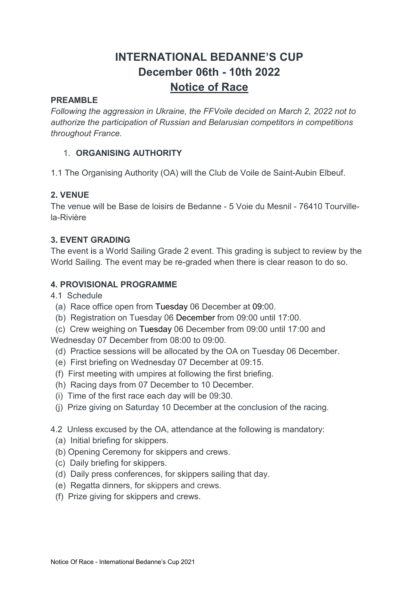# INTERNATIONAL BEDANNE'S CUP December 06th - 10th 2022 Notice of Race

### PREAMBLE

Following the aggression in Ukraine, the FFVoile decided on March 2, 2022 not to authorize the participation of Russian and Belarusian competitors in competitions throughout France.

### 1. ORGANISING AUTHORITY

1.1 The Organising Authority (OA) will the Club de Voile de Saint-Aubin Elbeuf.

### 2. VENUE

The venue will be Base de loisirs de Bedanne - 5 Voie du Mesnil - 76410 Tourvillela-Rivière

### 3. EVENT GRADING

The event is a World Sailing Grade 2 event. This grading is subject to review by the World Sailing. The event may be re-graded when there is clear reason to do so.

### 4. PROVISIONAL PROGRAMME

4.1 Schedule

- (a) Race office open from Tuesday 06 December at 09:00.
- (b) Registration on Tuesday 06 December from 09:00 until 17:00.
- (c) Crew weighing on Tuesday 06 December from 09:00 until 17:00 and

Wednesday 07 December from 08:00 to 09:00.

- (d) Practice sessions will be allocated by the OA on Tuesday 06 December.
- (e) First briefing on Wednesday 07 December at 09:15.
- (f) First meeting with umpires at following the first briefing.
- (h) Racing days from 07 December to 10 December.
- (i) Time of the first race each day will be 09:30.
- (j) Prize giving on Saturday 10 December at the conclusion of the racing.
- 4.2 Unless excused by the OA, attendance at the following is mandatory:
	- (a) Initial briefing for skippers.
	- (b) Opening Ceremony for skippers and crews.
	- (c) Daily briefing for skippers.
	- (d) Daily press conferences, for skippers sailing that day.
	- (e) Regatta dinners, for skippers and crews.
	- (f) Prize giving for skippers and crews.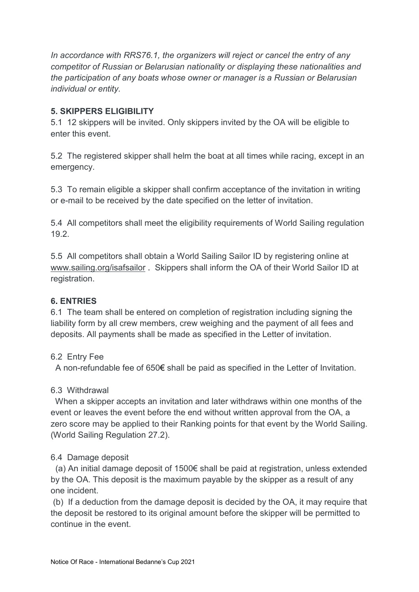In accordance with RRS76.1, the organizers will reject or cancel the entry of any competitor of Russian or Belarusian nationality or displaying these nationalities and the participation of any boats whose owner or manager is a Russian or Belarusian individual or entity.

### 5. SKIPPERS ELIGIBILITY

5.1 12 skippers will be invited. Only skippers invited by the OA will be eligible to enter this event.

5.2 The registered skipper shall helm the boat at all times while racing, except in an emergency.

5.3 To remain eligible a skipper shall confirm acceptance of the invitation in writing or e-mail to be received by the date specified on the letter of invitation.

5.4 All competitors shall meet the eligibility requirements of World Sailing regulation 19.2.

5.5 All competitors shall obtain a World Sailing Sailor ID by registering online at www.sailing.org/isafsailor . Skippers shall inform the OA of their World Sailor ID at registration.

### 6. ENTRIES

6.1 The team shall be entered on completion of registration including signing the liability form by all crew members, crew weighing and the payment of all fees and deposits. All payments shall be made as specified in the Letter of invitation.

### 6.2 Entry Fee

A non-refundable fee of 650€ shall be paid as specified in the Letter of Invitation.

### 6.3 Withdrawal

 When a skipper accepts an invitation and later withdraws within one months of the event or leaves the event before the end without written approval from the OA, a zero score may be applied to their Ranking points for that event by the World Sailing. (World Sailing Regulation 27.2).

# 6.4 Damage deposit

 (a) An initial damage deposit of 1500€ shall be paid at registration, unless extended by the OA. This deposit is the maximum payable by the skipper as a result of any one incident.

 (b) If a deduction from the damage deposit is decided by the OA, it may require that the deposit be restored to its original amount before the skipper will be permitted to continue in the event.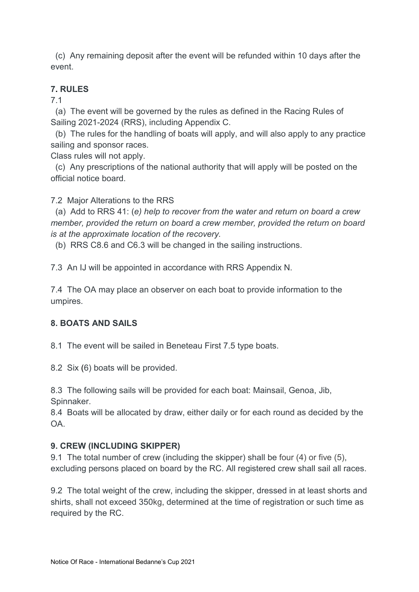(c) Any remaining deposit after the event will be refunded within 10 days after the event.

# 7. RULES

7.1

 (a) The event will be governed by the rules as defined in the Racing Rules of Sailing 2021-2024 (RRS), including Appendix C.

 (b) The rules for the handling of boats will apply, and will also apply to any practice sailing and sponsor races.

Class rules will not apply.

 (c) Any prescriptions of the national authority that will apply will be posted on the official notice board.

7.2 Major Alterations to the RRS

 (a) Add to RRS 41: (e) help to recover from the water and return on board a crew member, provided the return on board a crew member, provided the return on board is at the approximate location of the recovery.

(b) RRS C8.6 and C6.3 will be changed in the sailing instructions.

7.3 An IJ will be appointed in accordance with RRS Appendix N.

7.4 The OA may place an observer on each boat to provide information to the umpires.

# 8. BOATS AND SAILS

8.1 The event will be sailed in Beneteau First 7.5 type boats.

8.2 Six (6) boats will be provided.

8.3 The following sails will be provided for each boat: Mainsail, Genoa, Jib, Spinnaker.

8.4 Boats will be allocated by draw, either daily or for each round as decided by the  $\bigcap A$ 

# 9. CREW (INCLUDING SKIPPER)

9.1 The total number of crew (including the skipper) shall be four (4) or five (5), excluding persons placed on board by the RC. All registered crew shall sail all races.

9.2 The total weight of the crew, including the skipper, dressed in at least shorts and shirts, shall not exceed 350kg, determined at the time of registration or such time as required by the RC.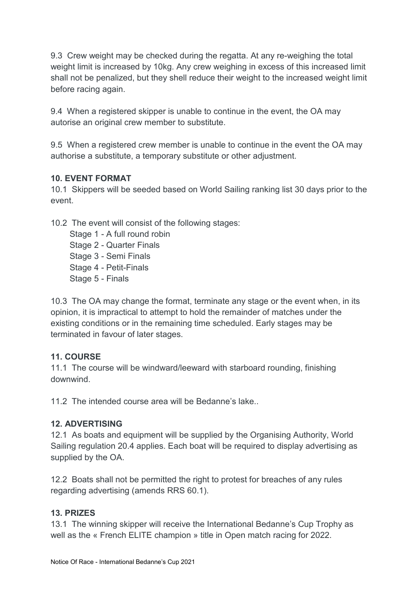9.3 Crew weight may be checked during the regatta. At any re-weighing the total weight limit is increased by 10kg. Any crew weighing in excess of this increased limit shall not be penalized, but they shell reduce their weight to the increased weight limit before racing again.

9.4 When a registered skipper is unable to continue in the event, the OA may autorise an original crew member to substitute.

9.5 When a registered crew member is unable to continue in the event the OA may authorise a substitute, a temporary substitute or other adjustment.

### 10. EVENT FORMAT

10.1 Skippers will be seeded based on World Sailing ranking list 30 days prior to the event.

10.2 The event will consist of the following stages:

Stage 1 - A full round robin Stage 2 - Quarter Finals Stage 3 - Semi Finals Stage 4 - Petit-Finals Stage 5 - Finals

10.3 The OA may change the format, terminate any stage or the event when, in its opinion, it is impractical to attempt to hold the remainder of matches under the existing conditions or in the remaining time scheduled. Early stages may be terminated in favour of later stages.

# 11. COURSE

11.1 The course will be windward/leeward with starboard rounding, finishing downwind.

11.2 The intended course area will be Bedanne's lake.

# 12. ADVERTISING

12.1 As boats and equipment will be supplied by the Organising Authority, World Sailing regulation 20.4 applies. Each boat will be required to display advertising as supplied by the OA.

12.2 Boats shall not be permitted the right to protest for breaches of any rules regarding advertising (amends RRS 60.1).

# 13. PRIZES

13.1 The winning skipper will receive the International Bedanne's Cup Trophy as well as the « French ELITE champion » title in Open match racing for 2022.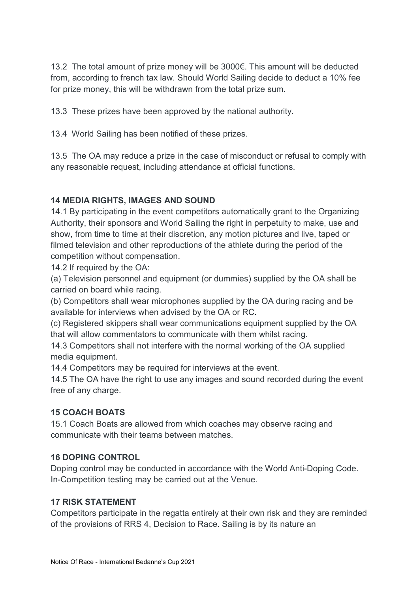13.2 The total amount of prize money will be 3000€. This amount will be deducted from, according to french tax law. Should World Sailing decide to deduct a 10% fee for prize money, this will be withdrawn from the total prize sum.

13.3 These prizes have been approved by the national authority.

13.4 World Sailing has been notified of these prizes.

13.5 The OA may reduce a prize in the case of misconduct or refusal to comply with any reasonable request, including attendance at official functions.

# 14 MEDIA RIGHTS, IMAGES AND SOUND

14.1 By participating in the event competitors automatically grant to the Organizing Authority, their sponsors and World Sailing the right in perpetuity to make, use and show, from time to time at their discretion, any motion pictures and live, taped or filmed television and other reproductions of the athlete during the period of the competition without compensation.

14.2 If required by the OA:

(a) Television personnel and equipment (or dummies) supplied by the OA shall be carried on board while racing.

(b) Competitors shall wear microphones supplied by the OA during racing and be available for interviews when advised by the OA or RC.

(c) Registered skippers shall wear communications equipment supplied by the OA that will allow commentators to communicate with them whilst racing.

14.3 Competitors shall not interfere with the normal working of the OA supplied media equipment.

14.4 Competitors may be required for interviews at the event.

14.5 The OA have the right to use any images and sound recorded during the event free of any charge.

# 15 COACH BOATS

15.1 Coach Boats are allowed from which coaches may observe racing and communicate with their teams between matches.

### 16 DOPING CONTROL

Doping control may be conducted in accordance with the World Anti-Doping Code. In-Competition testing may be carried out at the Venue.

### 17 RISK STATEMENT

Competitors participate in the regatta entirely at their own risk and they are reminded of the provisions of RRS 4, Decision to Race. Sailing is by its nature an